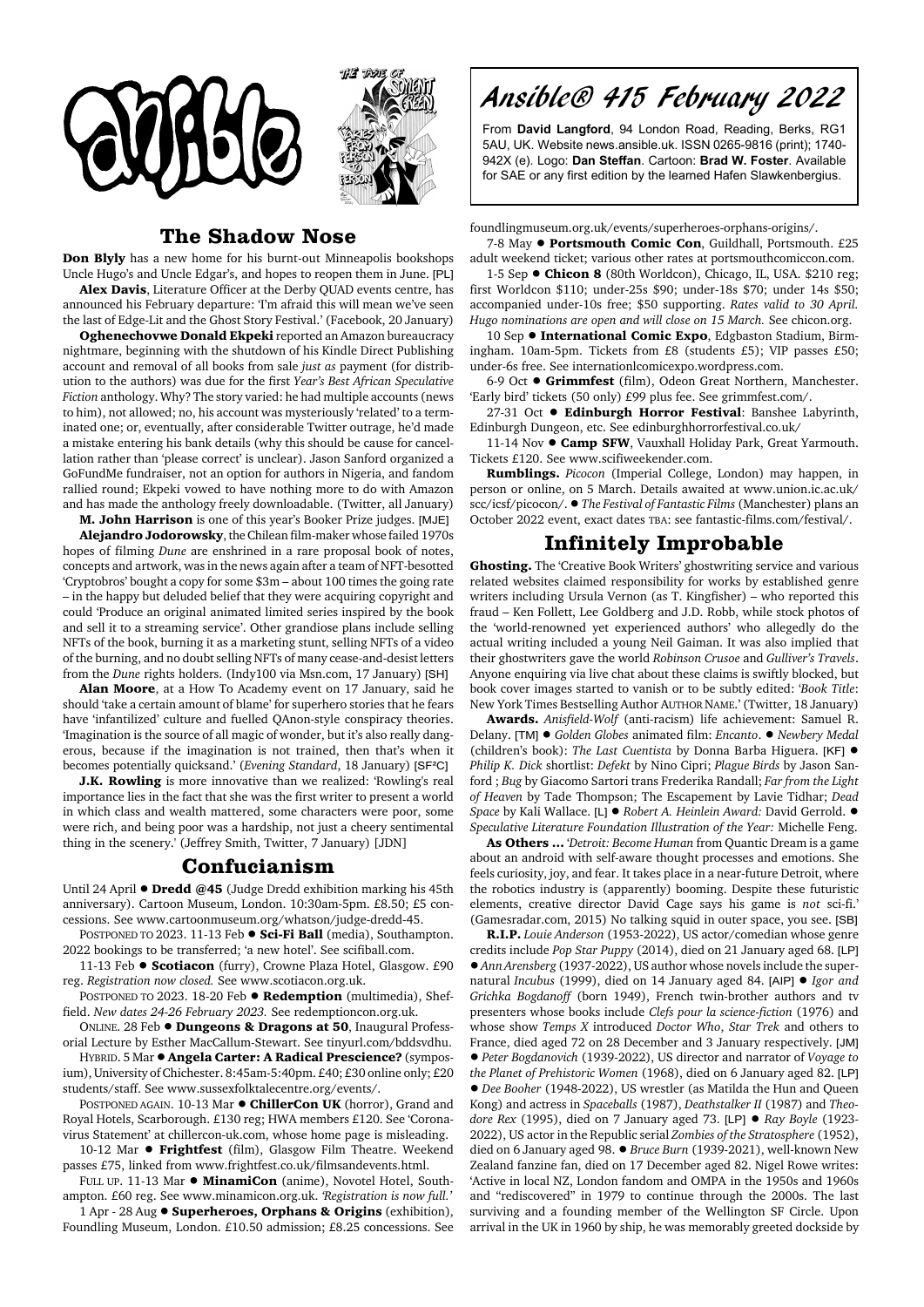



## **The Shadow Nose**

**Don Blyly** has a new home for his burnt-out Minneapolis bookshops Uncle Hugo's and Uncle Edgar's, and hopes to reopen them in June. [PL] **Alex Davis**, Literature Officer at the Derby QUAD events centre, has

announced his February departure: 'I'm afraid this will mean we've seen the last of Edge-Lit and the Ghost Story Festival.' (Facebook, 20 January)

**Oghenechovwe Donald Ekpeki** reported an Amazon bureaucracy nightmare, beginning with the shutdown of his Kindle Direct Publishing account and removal of all books from sale *just as* payment (for distribution to the authors) was due for the first *Year's Best African Speculative Fiction* anthology. Why? The story varied: he had multiple accounts (news to him), not allowed; no, his account was mysteriously 'related' to a terminated one; or, eventually, after considerable Twitter outrage, he'd made a mistake entering his bank details (why this should be cause for cancellation rather than 'please correct' is unclear). Jason Sanford organized a GoFundMe fundraiser, not an option for authors in Nigeria, and fandom rallied round; Ekpeki vowed to have nothing more to do with Amazon and has made the anthology freely downloadable. (Twitter, all January)

**M. John Harrison** is one of this year's Booker Prize judges. [MJE] **Alejandro Jodorowsky**, the Chilean film-maker whose failed 1970s hopes of filming *Dune* are enshrined in a rare proposal book of notes, concepts and artwork, was in the news again after a team of NFT-besotted 'Cryptobros' bought a copy for some \$3m – about 100 times the going rate – in the happy but deluded belief that they were acquiring copyright and could 'Produce an original animated limited series inspired by the book and sell it to a streaming service'. Other grandiose plans include selling NFTs of the book, burning it as a marketing stunt, selling NFTs of a video of the burning, and no doubt selling NFTs of many cease-and-desist letters from the *Dune* rights holders. (Indy100 via Msn.com, 17 January) [SH]

**Alan Moore**, at a How To Academy event on 17 January, said he should 'take a certain amount of blame' for superhero stories that he fears have 'infantilized' culture and fuelled QAnon-style conspiracy theories. 'Imagination is the source of all magic of wonder, but it's also really dangerous, because if the imagination is not trained, then that's when it becomes potentially quicksand.' (*Evening Standard*, 18 January) [SF²C]

**J.K. Rowling** is more innovative than we realized: 'Rowling's real importance lies in the fact that she was the first writer to present a world in which class and wealth mattered, some characters were poor, some were rich, and being poor was a hardship, not just a cheery sentimental thing in the scenery.' (Jeffrey Smith, Twitter, 7 January) [JDN]

## **Confucianism**

Until 24 April  $\bullet$  **Dredd** @45 (Judge Dredd exhibition marking his 45th anniversary). Cartoon Museum, London. 10:30am-5pm. £8.50; £5 concessions. See www.cartoonmuseum.org/whatson/judge-dredd-45.

POSTPONED TO 2023. 11-13 Feb  $\bullet$  **Sci-Fi Ball** (media), Southampton. 2022 bookings to be transferred; 'a new hotel'. See scifiball.com.

11-13 Feb  $\bullet$  **Scotiacon** (furry), Crowne Plaza Hotel, Glasgow. £90 reg. *Registration now closed.* See www.scotiacon.org.uk.

POSTPONED TO 2023. 18-20 Feb  $\bullet$  **Redemption** (multimedia), Sheffield. *New dates 24-26 February 2023.* See redemptioncon.org.uk.

ONLINE. 28 Feb ! **Dungeons & Dragons at 50**, Inaugural Professorial Lecture by Esther MacCallum-Stewart. See tinyurl.com/bddsvdhu.

HYBRID. 5 Mar ! **Angela Carter: A Radical Prescience?** (symposium), University of Chichester. 8:45am-5:40pm. £40; £30 online only; £20 students/staff. See www.sussexfolktalecentre.org/events/.

POSTPONED AGAIN. 10-13 Mar  $\bullet$  **ChillerCon UK** (horror), Grand and Royal Hotels, Scarborough. £130 reg; HWA members £120. See 'Coronavirus Statement' at chillercon-uk.com, whose home page is misleading.

10-12 Mar  $\bullet$  Frightfest (film), Glasgow Film Theatre. Weekend passes £75, linked from www.frightfest.co.uk/filmsandevents.html.

FULL UP. 11-13 Mar  $\bullet$  **MinamiCon** (anime), Novotel Hotel, Southampton. £60 reg. See www.minamicon.org.uk. *'Registration is now full.'*

1 Apr - 28 Aug ! **Superheroes, Orphans & Origins** (exhibition), Foundling Museum, London. £10.50 admission; £8.25 concessions. See Ansible® 415 February 2022

From **David Langford**, 94 London Road, Reading, Berks, RG1 5AU, UK. Website news.ansible.uk. ISSN 0265-9816 (print); 1740- 942X (e). Logo: **Dan Steffan**. Cartoon: **Brad W. Foster**. Available for SAE or any first edition by the learned Hafen Slawkenbergius.

foundlingmuseum.org.uk/events/superheroes-orphans-origins/.

7-8 May  $\bullet$  **Portsmouth Comic Con**, Guildhall, Portsmouth. £25 adult weekend ticket; various other rates at portsmouthcomiccon.com.

1-5 Sep  $\bullet$  **Chicon 8** (80th Worldcon), Chicago, IL, USA. \$210 reg; first Worldcon \$110; under-25s \$90; under-18s \$70; under 14s \$50; accompanied under-10s free; \$50 supporting. *Rates valid to 30 April. Hugo nominations are open and will close on 15 March.* See chicon.org.

10 Sep  $\bullet$  **International Comic Expo**, Edgbaston Stadium, Birmingham. 10am-5pm. Tickets from £8 (students £5); VIP passes £50; under-6s free. See internationlcomicexpo.wordpress.com.

6-9 Oct ! **Grimmfest** (film), Odeon Great Northern, Manchester. 'Early bird' tickets (50 only) £99 plus fee. See grimmfest.com/.

27-31 Oct • Edinburgh Horror Festival: Banshee Labyrinth, Edinburgh Dungeon, etc. See edinburghhorrorfestival.co.uk/

11-14 Nov  $\bullet$  Camp SFW, Vauxhall Holiday Park, Great Yarmouth. Tickets £120. See www.scifiweekender.com.

**Rumblings.** *Picocon* (Imperial College, London) may happen, in person or online, on 5 March. Details awaited at www.union.ic.ac.uk/ scc/icsf/picocon/. ! *The Festival of Fantastic Films* (Manchester) plans an October 2022 event, exact dates TBA: see fantastic-films.com/festival/.

## **Infinitely Improbable**

**Ghosting.** The 'Creative Book Writers' ghostwriting service and various related websites claimed responsibility for works by established genre writers including Ursula Vernon (as T. Kingfisher) – who reported this fraud – Ken Follett, Lee Goldberg and J.D. Robb, while stock photos of the 'world-renowned yet experienced authors' who allegedly do the actual writing included a young Neil Gaiman. It was also implied that their ghostwriters gave the world *Robinson Crusoe* and *Gulliver's Travels*. Anyone enquiring via live chat about these claims is swiftly blocked, but book cover images started to vanish or to be subtly edited: '*Book Title*: New York Times Bestselling Author AUTHOR NAME.' (Twitter, 18 January)

**Awards.** *Anisfield-Wolf* (anti-racism) life achievement: Samuel R. Delany. [TM] ! *Golden Globes* animated film: *Encanto*. ! *Newbery Medal* (children's book): *The Last Cuentista* by Donna Barba Higuera. [KF] ! *Philip K. Dick* shortlist: *Defekt* by Nino Cipri; *Plague Birds* by Jason Sanford ; *Bug* by Giacomo Sartori trans Frederika Randall; *Far from the Light of Heaven* by Tade Thompson; The Escapement by Lavie Tidhar; *Dead Space* by Kali Wallace. [L] ! *Robert A. Heinlein Award:* David Gerrold. ! *Speculative Literature Foundation Illustration of the Year:* Michelle Feng.

**As Others ...** '*Detroit: Become Human* from Quantic Dream is a game about an android with self-aware thought processes and emotions. She feels curiosity, joy, and fear. It takes place in a near-future Detroit, where the robotics industry is (apparently) booming. Despite these futuristic elements, creative director David Cage says his game is *not* sci-fi.' (Gamesradar.com, 2015) No talking squid in outer space, you see. [SB]

**R.I.P.** *Louie Anderson* (1953-2022), US actor/comedian whose genre credits include *Pop Star Puppy* (2014), died on 21 January aged 68. [LP] !*Ann Arensberg* (1937-2022), US author whose novels include the supernatural *Incubus* (1999), died on 14 January aged 84. [AIP] ! *Igor and Grichka Bogdanoff* (born 1949), French twin-brother authors and tv presenters whose books include *Clefs pour la science-fiction* (1976) and whose show *Temps X* introduced *Doctor Who*, *Star Trek* and others to France, died aged 72 on 28 December and 3 January respectively. [JM] ! *Peter Bogdanovich* (1939-2022), US director and narrator of *Voyage to the Planet of Prehistoric Women* (1968), died on 6 January aged 82. [LP] ! *Dee Booher* (1948-2022), US wrestler (as Matilda the Hun and Queen Kong) and actress in *Spaceballs* (1987), *Deathstalker II* (1987) and *Theodore Rex* (1995), died on 7 January aged 73. [LP] ! *Ray Boyle* (1923- 2022), US actor in the Republic serial *Zombies of the Stratosphere* (1952), died on 6 January aged 98. ! *Bruce Burn* (1939-2021), well-known New Zealand fanzine fan, died on 17 December aged 82. Nigel Rowe writes: 'Active in local NZ, London fandom and OMPA in the 1950s and 1960s and "rediscovered" in 1979 to continue through the 2000s. The last surviving and a founding member of the Wellington SF Circle. Upon arrival in the UK in 1960 by ship, he was memorably greeted dockside by